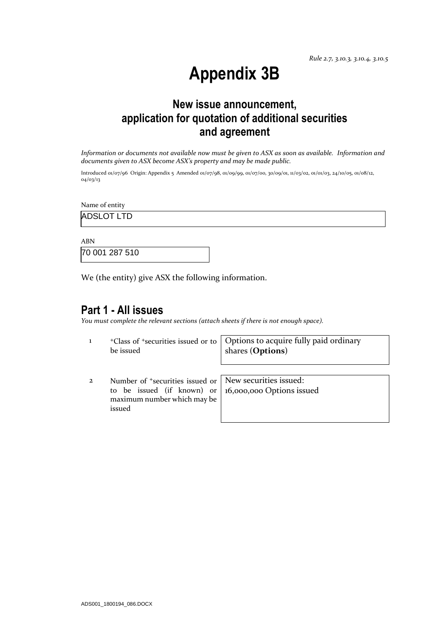# **Appendix 3B**

## **New issue announcement, application for quotation of additional securities and agreement**

*Information or documents not available now must be given to ASX as soon as available. Information and documents given to ASX become ASX's property and may be made public.*

Introduced 01/07/96 Origin: Appendix 5 Amended 01/07/98, 01/09/99, 01/07/00, 30/09/01, 11/03/02, 01/01/03, 24/10/05, 01/08/12, 04/03/13

Name of entity

ADSLOT LTD

ABN 70 001 287 510

We (the entity) give ASX the following information.

### **Part 1 - All issues**

*You must complete the relevant sections (attach sheets if there is not enough space).*

| be issued                                                                                                                                                                     | $\pm$ Class of $\pm$ securities issued or to   Options to acquire fully paid ordinary<br>shares (Options) |
|-------------------------------------------------------------------------------------------------------------------------------------------------------------------------------|-----------------------------------------------------------------------------------------------------------|
| Number of <sup>+</sup> securities issued or   New securities issued:<br>to be issued (if known) or $\vert$ 16,000,000 Options issued<br>maximum number which may be<br>issued |                                                                                                           |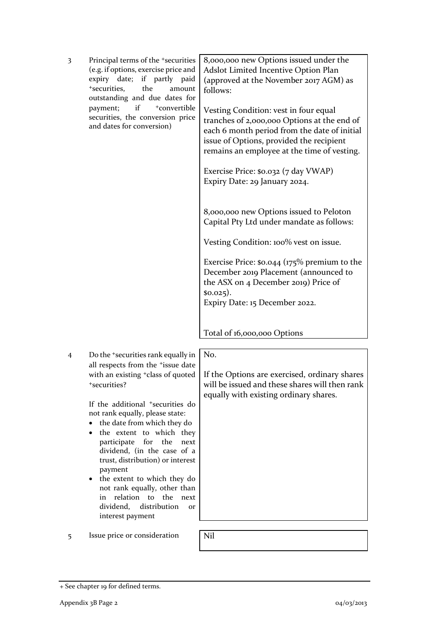| 3              | Principal terms of the <sup>+</sup> securities<br>(e.g. if options, exercise price and<br>expiry date; if partly paid<br>+securities,<br>the<br>amount<br>outstanding and due dates for<br>if<br>+convertible<br>payment;<br>securities, the conversion price<br>and dates for conversion) | 8,000,000 new Options issued under the<br>Adslot Limited Incentive Option Plan<br>(approved at the November 2017 AGM) as<br>follows:                                                                                            |
|----------------|--------------------------------------------------------------------------------------------------------------------------------------------------------------------------------------------------------------------------------------------------------------------------------------------|---------------------------------------------------------------------------------------------------------------------------------------------------------------------------------------------------------------------------------|
|                |                                                                                                                                                                                                                                                                                            | Vesting Condition: vest in four equal<br>tranches of 2,000,000 Options at the end of<br>each 6 month period from the date of initial<br>issue of Options, provided the recipient<br>remains an employee at the time of vesting. |
|                |                                                                                                                                                                                                                                                                                            | Exercise Price: \$0.032 (7 day VWAP)<br>Expiry Date: 29 January 2024.                                                                                                                                                           |
|                |                                                                                                                                                                                                                                                                                            | 8,000,000 new Options issued to Peloton<br>Capital Pty Ltd under mandate as follows:                                                                                                                                            |
|                |                                                                                                                                                                                                                                                                                            | Vesting Condition: 100% vest on issue.                                                                                                                                                                                          |
|                |                                                                                                                                                                                                                                                                                            | Exercise Price: $\frac{$6,044}{175\%}$ premium to the<br>December 2019 Placement (announced to<br>the ASX on 4 December 2019) Price of<br>\$0.025).                                                                             |
|                |                                                                                                                                                                                                                                                                                            | Expiry Date: 15 December 2022.                                                                                                                                                                                                  |
|                |                                                                                                                                                                                                                                                                                            | Total of 16,000,000 Options                                                                                                                                                                                                     |
| $\overline{4}$ | Do the <sup>+</sup> securities rank equally in                                                                                                                                                                                                                                             | No.                                                                                                                                                                                                                             |
|                | all respects from the <sup>+</sup> issue date<br>with an existing <sup>+</sup> class of quoted<br>*securities?                                                                                                                                                                             | If the Options are exercised, ordinary shares<br>will be issued and these shares will then rank<br>equally with existing ordinary shares.                                                                                       |
|                | If the additional <sup>+</sup> securities do                                                                                                                                                                                                                                               |                                                                                                                                                                                                                                 |
|                | not rank equally, please state:<br>the date from which they do<br>$\bullet$                                                                                                                                                                                                                |                                                                                                                                                                                                                                 |
|                | the extent to which they<br>٠<br>participate for the<br>next<br>dividend, (in the case of a<br>trust, distribution) or interest                                                                                                                                                            |                                                                                                                                                                                                                                 |
|                | payment<br>the extent to which they do<br>not rank equally, other than<br>relation<br>to the<br>in<br>next<br>dividend,<br>distribution<br>or<br>interest payment                                                                                                                          |                                                                                                                                                                                                                                 |
| 5              | Issue price or consideration                                                                                                                                                                                                                                                               | Nil                                                                                                                                                                                                                             |
|                |                                                                                                                                                                                                                                                                                            |                                                                                                                                                                                                                                 |

<sup>+</sup> See chapter 19 for defined terms.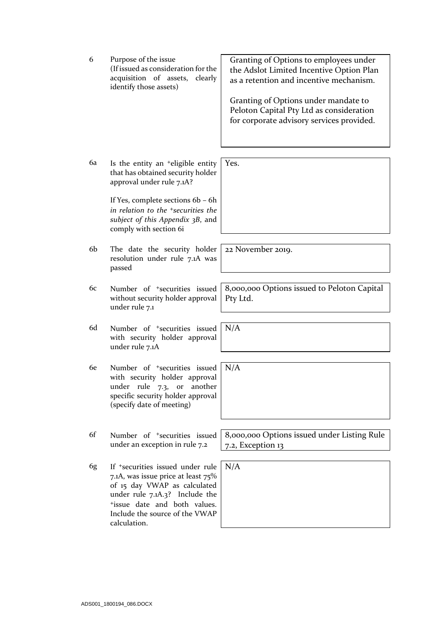| 6  | Purpose of the issue<br>(If issued as consideration for the<br>acquisition of assets,<br>clearly<br>identify those assets)                                                                                                                         | Granting of Options to employees under<br>the Adslot Limited Incentive Option Plan<br>as a retention and incentive mechanism.<br>Granting of Options under mandate to<br>Peloton Capital Pty Ltd as consideration<br>for corporate advisory services provided. |
|----|----------------------------------------------------------------------------------------------------------------------------------------------------------------------------------------------------------------------------------------------------|----------------------------------------------------------------------------------------------------------------------------------------------------------------------------------------------------------------------------------------------------------------|
| 6a | Is the entity an <sup>+</sup> eligible entity<br>that has obtained security holder<br>approval under rule 7.1A?                                                                                                                                    | Yes.                                                                                                                                                                                                                                                           |
|    | If Yes, complete sections 6b – 6h<br>in relation to the <sup>+</sup> securities the<br>subject of this Appendix 3B, and<br>comply with section 6i                                                                                                  |                                                                                                                                                                                                                                                                |
| 6b | The date the security holder<br>resolution under rule 7.1A was<br>passed                                                                                                                                                                           | 22 November 2019.                                                                                                                                                                                                                                              |
| 6c | Number of <sup>+</sup> securities issued<br>without security holder approval<br>under rule 7.1                                                                                                                                                     | 8,000,000 Options issued to Peloton Capital<br>Pty Ltd.                                                                                                                                                                                                        |
| 6d | Number of <sup>+</sup> securities issued<br>with security holder approval<br>under rule 7.1A                                                                                                                                                       | N/A                                                                                                                                                                                                                                                            |
| 6e | Number of <sup>+</sup> securities issued<br>with security holder approval<br>under rule 7.3, or another<br>specific security holder approval<br>(specify date of meeting)                                                                          | N/A                                                                                                                                                                                                                                                            |
| 6f | Number of <sup>+</sup> securities issued<br>under an exception in rule 7.2                                                                                                                                                                         | 8,000,000 Options issued under Listing Rule<br>7.2, Exception 13                                                                                                                                                                                               |
| 6g | If <sup>+</sup> securities issued under rule<br>7.1A, was issue price at least 75%<br>of 15 day VWAP as calculated<br>under rule 7.1A.3? Include the<br><sup>+</sup> issue date and both values.<br>Include the source of the VWAP<br>calculation. | N/A                                                                                                                                                                                                                                                            |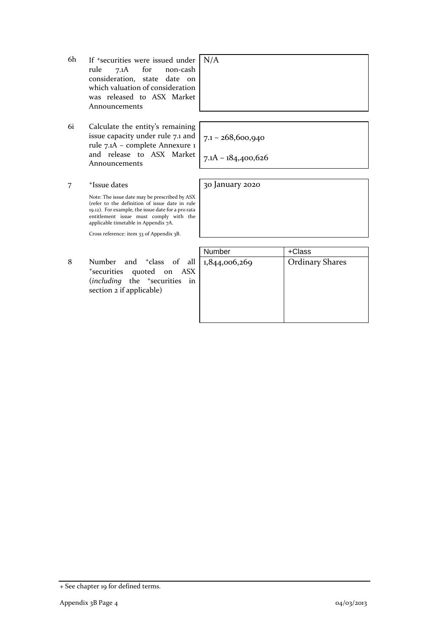- 6h If +securities were issued under rule 7.1A for non-cash consideration, state date on which valuation of consideration was released to ASX Market Announcements
- 6i Calculate the entity's remaining issue capacity under rule 7.1 and rule 7.1A – complete Annexure 1 and release to ASX Market Announcements

#### 7 +Issue dates

Note: The issue date may be prescribed by ASX (refer to the definition of issue date in rule 19.12). For example, the issue date for a pro rata entitlement issue must comply with the applicable timetable in Appendix 7A.

Cross reference: item 33 of Appendix 3B.

8 Number and <sup>+</sup>class of all <sup>+</sup>securities quoted on ASX (*including* the <sup>+</sup>securities in section 2 if applicable)

N/A

7.1 – 268,600,940

7.1A – 184,400,626

30 January 2020

Number +Class 1,844,006,269 Ordinary Shares

<sup>+</sup> See chapter 19 for defined terms.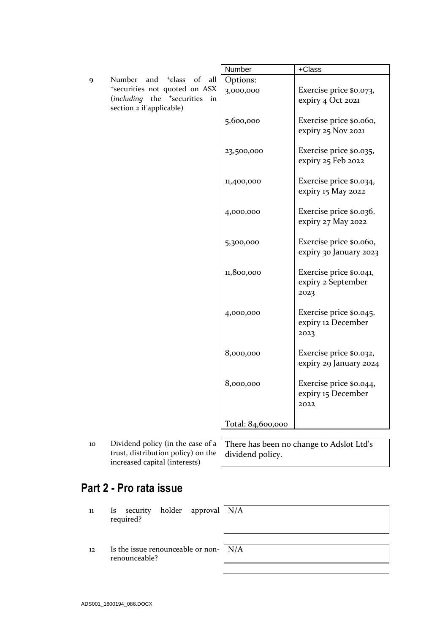|    |                                                  | Number            | +Class                                   |
|----|--------------------------------------------------|-------------------|------------------------------------------|
| 9  | Number<br><sup>+</sup> class<br>and<br>of<br>all | Options:          |                                          |
|    | *securities not quoted on ASX                    | 3,000,000         | Exercise price \$0.073,                  |
|    | (including the <sup>+</sup> securities in        |                   | expiry 4 Oct 2021                        |
|    | section 2 if applicable)                         |                   |                                          |
|    |                                                  | 5,600,000         | Exercise price \$0.060,                  |
|    |                                                  |                   | expiry 25 Nov 2021                       |
|    |                                                  |                   |                                          |
|    |                                                  | 23,500,000        | Exercise price \$0.035,                  |
|    |                                                  |                   | expiry 25 Feb 2022                       |
|    |                                                  |                   |                                          |
|    |                                                  | 11,400,000        | Exercise price \$0.034,                  |
|    |                                                  |                   | expiry 15 May 2022                       |
|    |                                                  |                   |                                          |
|    |                                                  | 4,000,000         | Exercise price \$0.036,                  |
|    |                                                  |                   | expiry 27 May 2022                       |
|    |                                                  |                   |                                          |
|    |                                                  | 5,300,000         | Exercise price \$0.060,                  |
|    |                                                  |                   | expiry 30 January 2023                   |
|    |                                                  |                   |                                          |
|    |                                                  | 11,800,000        | Exercise price \$0.041,                  |
|    |                                                  |                   | expiry 2 September                       |
|    |                                                  |                   | 2023                                     |
|    |                                                  |                   | Exercise price \$0.045,                  |
|    |                                                  | 4,000,000         | expiry 12 December                       |
|    |                                                  |                   | 2023                                     |
|    |                                                  |                   |                                          |
|    |                                                  | 8,000,000         | Exercise price \$0.032,                  |
|    |                                                  |                   | expiry 29 January 2024                   |
|    |                                                  |                   |                                          |
|    |                                                  | 8,000,000         | Exercise price \$0.044,                  |
|    |                                                  |                   | expiry 15 December                       |
|    |                                                  |                   | 2022                                     |
|    |                                                  |                   |                                          |
|    |                                                  | Total: 84,600,000 |                                          |
|    |                                                  |                   |                                          |
| 10 | Dividend policy (in the case of a                |                   | There has been no change to Adslot Ltd's |
|    | trust, distribution policy) on the               | dividend policy.  |                                          |

# **Part 2 - Pro rata issue**

- 11 Is security holder approval required? N/A
- 12 Is the issue renounceable or nonrenounceable?

increased capital (interests)

 $N/A$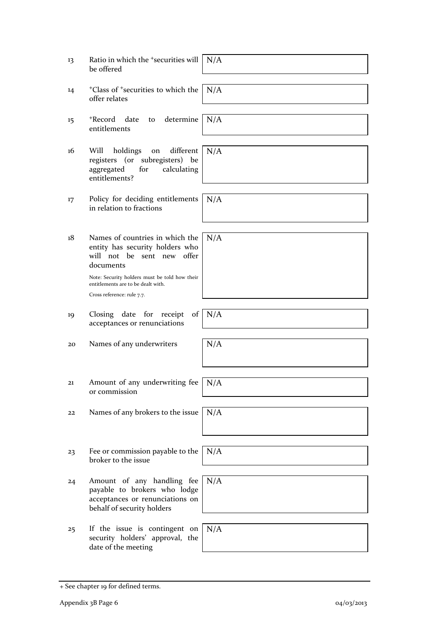| 13 | Ratio in which the <sup>+</sup> securities will<br>be offered                                                               | N/A |
|----|-----------------------------------------------------------------------------------------------------------------------------|-----|
| 14 | <sup>+</sup> Class of <sup>+</sup> securities to which the<br>offer relates                                                 | N/A |
| 15 | +Record<br>determine<br>date<br>to<br>entitlements                                                                          | N/A |
| 16 | different<br>Will<br>holdings<br>on<br>registers (or subregisters) be<br>aggregated<br>for<br>calculating<br>entitlements?  | N/A |
| 17 | Policy for deciding entitlements<br>in relation to fractions                                                                | N/A |
| 18 | Names of countries in which the<br>entity has security holders who<br>will not be sent new offer<br>documents               | N/A |
|    | Note: Security holders must be told how their<br>entitlements are to be dealt with.<br>Cross reference: rule 7.7.           |     |
| 19 | Closing date for receipt<br>of<br>acceptances or renunciations                                                              | N/A |
| 20 | Names of any underwriters                                                                                                   | N/A |
| 21 | Amount of any underwriting fee<br>or commission                                                                             | N/A |
| 22 | Names of any brokers to the issue                                                                                           | N/A |
| 23 | Fee or commission payable to the<br>broker to the issue                                                                     | N/A |
| 24 | Amount of any handling fee<br>payable to brokers who lodge<br>acceptances or renunciations on<br>behalf of security holders | N/A |
| 25 | If the issue is contingent on<br>security holders' approval, the<br>date of the meeting                                     | N/A |

<sup>+</sup> See chapter 19 for defined terms.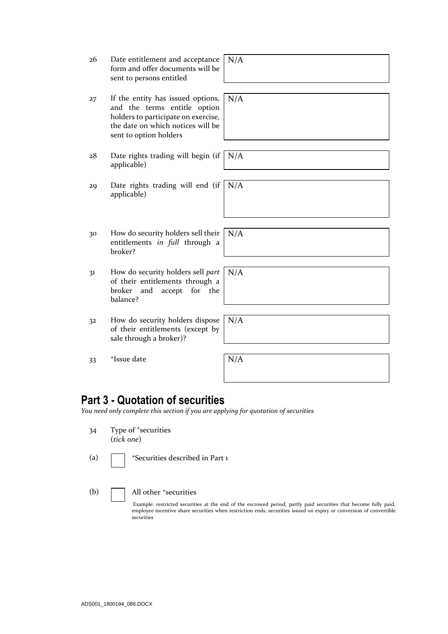- 26 Date entitlement and acceptance form and offer documents will be sent to persons entitled
- 27 If the entity has issued options, and the terms entitle option holders to participate on exercise, the date on which notices will be sent to option holders
- 28 Date rights trading will begin (if applicable)
- 29 Date rights trading will end (if applicable) N/A
- 30 How do security holders sell their entitlements *in full* through a broker?
- 31 How do security holders sell *part* of their entitlements through a broker and accept for the balance?
- 32 How do security holders dispose of their entitlements (except by sale through a broker)?

 $33$  +Issue date  $N/A$ 

# N/A

N/A

N/A

N/A

N/A

#### **Part 3 - Quotation of securities**

*You need only complete this section if you are applying for quotation of securities*

- 34 Type of <sup>+</sup>securities (*tick one*)
- 

(a)  $\Box$  +Securities described in Part 1

#### (b)  $\Box$  All other  $\ddagger$  securities

Example: restricted securities at the end of the escrowed period, partly paid securities that become fully paid, employee incentive share securities when restriction ends, securities issued on expiry or conversion of convertible securities

N/A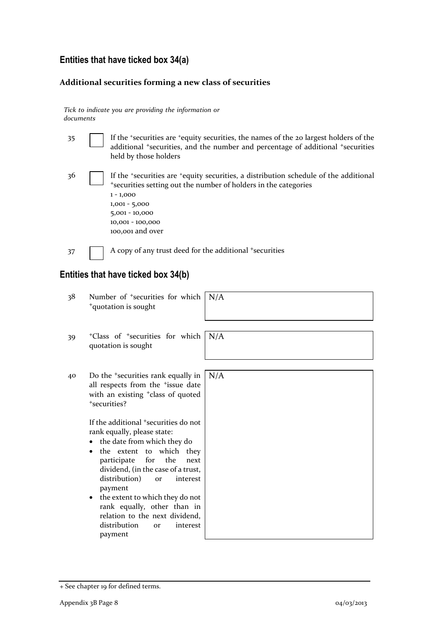#### **Entities that have ticked box 34(a)**

#### **Additional securities forming a new class of securities**

*Tick to indicate you are providing the information or documents*

| 35 | If the 'securities are 'equity securities, the names of the 20 largest holders of the<br>additional *securities, and the number and percentage of additional *securities<br>held by those holders                                                   |
|----|-----------------------------------------------------------------------------------------------------------------------------------------------------------------------------------------------------------------------------------------------------|
| 36 | If the *securities are *equity securities, a distribution schedule of the additional<br>*securities setting out the number of holders in the categories<br>$1 - 1,000$<br>$1,001 - 5,000$<br>5,001 - 10,000<br>10,001 - 100,000<br>100,001 and over |

37 A copy of any trust deed for the additional +securities

#### **Entities that have ticked box 34(b)**

| 38 | Number of $\pm$ securities for which   N/A<br><sup>+</sup> quotation is sought                                                                                                                                                                                                                                                                                                                                                                                                                                                                                                                                |     |
|----|---------------------------------------------------------------------------------------------------------------------------------------------------------------------------------------------------------------------------------------------------------------------------------------------------------------------------------------------------------------------------------------------------------------------------------------------------------------------------------------------------------------------------------------------------------------------------------------------------------------|-----|
| 39 | <sup>+</sup> Class of <sup>+</sup> securities for which<br>quotation is sought                                                                                                                                                                                                                                                                                                                                                                                                                                                                                                                                | N/A |
| 40 | Do the <sup>+</sup> securities rank equally in<br>all respects from the <i>*issue</i> date<br>with an existing <sup>+</sup> class of quoted<br><sup>+</sup> securities?<br>If the additional <sup>+</sup> securities do not<br>rank equally, please state:<br>the date from which they do<br>the extent to which they<br>for<br>the<br>participate<br>next<br>dividend, (in the case of a trust,<br>distribution)<br>interest<br><b>or</b><br>payment<br>the extent to which they do not<br>rank equally, other than in<br>relation to the next dividend,<br>distribution<br>interest<br><b>or</b><br>payment | N/A |

<sup>+</sup> See chapter 19 for defined terms.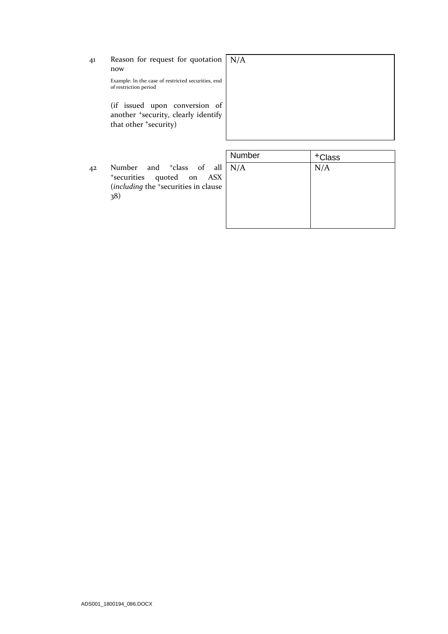41 Reason for request for quotation now

> Example: In the case of restricted securities, end of restriction period

(if issued upon conversion of another <sup>+</sup>security, clearly identify that other <sup>+</sup>security)

| N/A |  |  |  |
|-----|--|--|--|
|     |  |  |  |
|     |  |  |  |
|     |  |  |  |
|     |  |  |  |
|     |  |  |  |
|     |  |  |  |

42 Number and <sup>+</sup>class of all <sup>+</sup>securities quoted on ASX (*including* the <sup>+</sup>securities in clause 38)

| Number | +Class |
|--------|--------|
| N/A    | N/A    |
|        |        |
|        |        |
|        |        |
|        |        |
|        |        |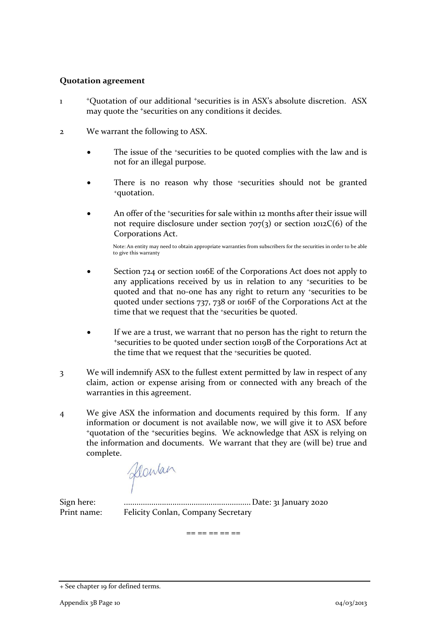#### **Quotation agreement**

- 1 <sup>+</sup>Quotation of our additional <sup>+</sup>securities is in ASX's absolute discretion. ASX may quote the <sup>+</sup>securities on any conditions it decides.
- 2 We warrant the following to ASX.
	- The issue of the +securities to be quoted complies with the law and is not for an illegal purpose.
	- There is no reason why those +securities should not be granted <sup>+</sup>quotation.
	- An offer of the *\*securities* for sale within 12 months after their issue will not require disclosure under section  $707(3)$  or section 1012C(6) of the Corporations Act.

Note: An entity may need to obtain appropriate warranties from subscribers for the securities in order to be able to give this warranty

- Section 724 or section 1016E of the Corporations Act does not apply to any applications received by us in relation to any +securities to be quoted and that no-one has any right to return any +securities to be quoted under sections 737, 738 or 1016F of the Corporations Act at the time that we request that the +securities be quoted.
- If we are a trust, we warrant that no person has the right to return the <sup>+</sup>securities to be quoted under section 1019B of the Corporations Act at the time that we request that the +securities be quoted.
- 3 We will indemnify ASX to the fullest extent permitted by law in respect of any claim, action or expense arising from or connected with any breach of the warranties in this agreement.
- 4 We give ASX the information and documents required by this form. If any information or document is not available now, we will give it to ASX before <sup>+</sup>quotation of the <sup>+</sup>securities begins. We acknowledge that ASX is relying on the information and documents. We warrant that they are (will be) true and complete.

flowan

Sign here: ............................................................Date: 31 January 2020 Print name: Felicity Conlan, Company Secretary

== == == == ==

<sup>+</sup> See chapter 19 for defined terms.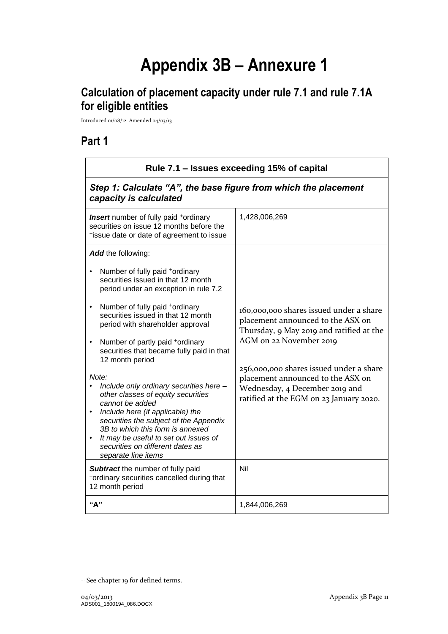# **Appendix 3B – Annexure 1**

# **Calculation of placement capacity under rule 7.1 and rule 7.1A for eligible entities**

Introduced 01/08/12 Amended 04/03/13

## **Part 1**

| Rule 7.1 – Issues exceeding 15% of capital                                                                                                                                                                                                                                                                                                   |                                                                                                                                                           |  |  |
|----------------------------------------------------------------------------------------------------------------------------------------------------------------------------------------------------------------------------------------------------------------------------------------------------------------------------------------------|-----------------------------------------------------------------------------------------------------------------------------------------------------------|--|--|
| Step 1: Calculate "A", the base figure from which the placement<br>capacity is calculated                                                                                                                                                                                                                                                    |                                                                                                                                                           |  |  |
| <b>Insert</b> number of fully paid +ordinary<br>securities on issue 12 months before the<br>*issue date or date of agreement to issue                                                                                                                                                                                                        | 1,428,006,269                                                                                                                                             |  |  |
| Add the following:                                                                                                                                                                                                                                                                                                                           |                                                                                                                                                           |  |  |
| Number of fully paid +ordinary<br>securities issued in that 12 month<br>period under an exception in rule 7.2                                                                                                                                                                                                                                |                                                                                                                                                           |  |  |
| Number of fully paid +ordinary<br>securities issued in that 12 month<br>period with shareholder approval                                                                                                                                                                                                                                     | 160,000,000 shares issued under a share<br>placement announced to the ASX on<br>Thursday, 9 May 2019 and ratified at the                                  |  |  |
| Number of partly paid +ordinary<br>securities that became fully paid in that<br>12 month period                                                                                                                                                                                                                                              | AGM on 22 November 2019                                                                                                                                   |  |  |
| Note:<br>Include only ordinary securities here -<br>other classes of equity securities<br>cannot be added<br>Include here (if applicable) the<br>securities the subject of the Appendix<br>3B to which this form is annexed<br>It may be useful to set out issues of<br>$\bullet$<br>securities on different dates as<br>separate line items | 256,000,000 shares issued under a share<br>placement announced to the ASX on<br>Wednesday, 4 December 2019 and<br>ratified at the EGM on 23 January 2020. |  |  |
| Subtract the number of fully paid<br>*ordinary securities cancelled during that<br>12 month period                                                                                                                                                                                                                                           | Nil                                                                                                                                                       |  |  |
| "А"                                                                                                                                                                                                                                                                                                                                          | 1,844,006,269                                                                                                                                             |  |  |

<sup>+</sup> See chapter 19 for defined terms.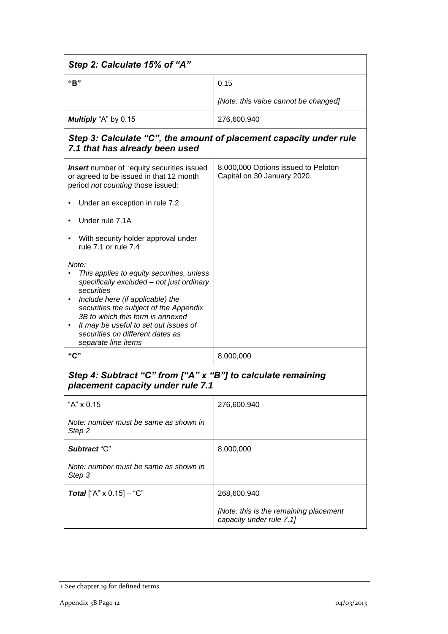| Step 2: Calculate 15% of "A"                                                                                                                                                                                                                                                                                                                                  |                                                                    |  |
|---------------------------------------------------------------------------------------------------------------------------------------------------------------------------------------------------------------------------------------------------------------------------------------------------------------------------------------------------------------|--------------------------------------------------------------------|--|
| "B"                                                                                                                                                                                                                                                                                                                                                           | 0.15                                                               |  |
|                                                                                                                                                                                                                                                                                                                                                               | [Note: this value cannot be changed]                               |  |
| Multiply "A" by 0.15                                                                                                                                                                                                                                                                                                                                          | 276,600,940                                                        |  |
| Step 3: Calculate "C", the amount of placement capacity under rule<br>7.1 that has already been used                                                                                                                                                                                                                                                          |                                                                    |  |
| <b>Insert</b> number of <sup>+</sup> equity securities issued<br>or agreed to be issued in that 12 month<br>period not counting those issued:                                                                                                                                                                                                                 | 8,000,000 Options issued to Peloton<br>Capital on 30 January 2020. |  |
| Under an exception in rule 7.2                                                                                                                                                                                                                                                                                                                                |                                                                    |  |
| Under rule 7.1A                                                                                                                                                                                                                                                                                                                                               |                                                                    |  |
| With security holder approval under<br>rule 7.1 or rule 7.4                                                                                                                                                                                                                                                                                                   |                                                                    |  |
| Note:<br>This applies to equity securities, unless<br>specifically excluded - not just ordinary<br>securities<br>Include here (if applicable) the<br>$\bullet$<br>securities the subject of the Appendix<br>3B to which this form is annexed<br>It may be useful to set out issues of<br>$\bullet$<br>securities on different dates as<br>separate line items |                                                                    |  |
| "C"                                                                                                                                                                                                                                                                                                                                                           | 8,000,000                                                          |  |
| Step 4: Subtract "C" from ["A" x "B"] to calculate remaining<br>placement capacity under rule 7.1                                                                                                                                                                                                                                                             |                                                                    |  |
| "A" x 0.15                                                                                                                                                                                                                                                                                                                                                    | 276,600,940                                                        |  |
| Note: number must be same as shown in<br>Step 2                                                                                                                                                                                                                                                                                                               |                                                                    |  |
| Subtract "C"                                                                                                                                                                                                                                                                                                                                                  | 8,000,000                                                          |  |
| Note: number must be same as shown in<br>Step 3                                                                                                                                                                                                                                                                                                               |                                                                    |  |
| <b>Total</b> ["A" $\times$ 0.15] – "C"                                                                                                                                                                                                                                                                                                                        | 268,600,940                                                        |  |
|                                                                                                                                                                                                                                                                                                                                                               | [Note: this is the remaining placement<br>capacity under rule 7.1] |  |

<sup>+</sup> See chapter 19 for defined terms.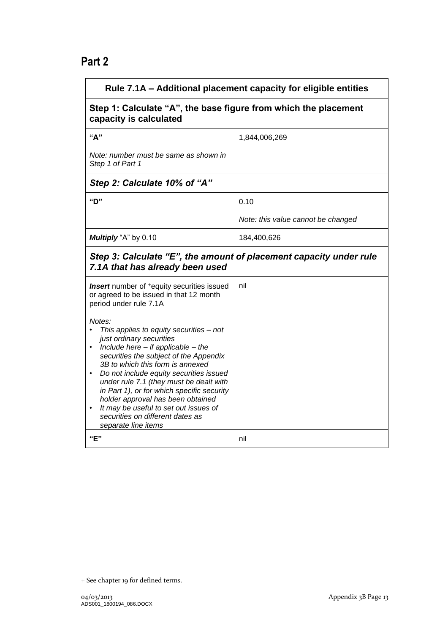### **Part 2**

| Rule 7.1A – Additional placement capacity for eligible entities                                                                                                                                                                                                                                                                                                                                                                                                                    |                                    |  |  |
|------------------------------------------------------------------------------------------------------------------------------------------------------------------------------------------------------------------------------------------------------------------------------------------------------------------------------------------------------------------------------------------------------------------------------------------------------------------------------------|------------------------------------|--|--|
| Step 1: Calculate "A", the base figure from which the placement<br>capacity is calculated                                                                                                                                                                                                                                                                                                                                                                                          |                                    |  |  |
| "A"                                                                                                                                                                                                                                                                                                                                                                                                                                                                                | 1,844,006,269                      |  |  |
| Note: number must be same as shown in<br>Step 1 of Part 1                                                                                                                                                                                                                                                                                                                                                                                                                          |                                    |  |  |
| Step 2: Calculate 10% of "A"                                                                                                                                                                                                                                                                                                                                                                                                                                                       |                                    |  |  |
| "D"                                                                                                                                                                                                                                                                                                                                                                                                                                                                                | 0.10                               |  |  |
|                                                                                                                                                                                                                                                                                                                                                                                                                                                                                    | Note: this value cannot be changed |  |  |
| Multiply "A" by 0.10                                                                                                                                                                                                                                                                                                                                                                                                                                                               | 184,400,626                        |  |  |
| Step 3: Calculate "E", the amount of placement capacity under rule<br>7.1A that has already been used                                                                                                                                                                                                                                                                                                                                                                              |                                    |  |  |
| <b>Insert</b> number of <sup>+</sup> equity securities issued<br>or agreed to be issued in that 12 month<br>period under rule 7.1A                                                                                                                                                                                                                                                                                                                                                 | nil                                |  |  |
| Notes:<br>This applies to equity securities - not<br>just ordinary securities<br>Include here $-$ if applicable $-$ the<br>securities the subject of the Appendix<br>3B to which this form is annexed<br>Do not include equity securities issued<br>under rule 7.1 (they must be dealt with<br>in Part 1), or for which specific security<br>holder approval has been obtained<br>It may be useful to set out issues of<br>securities on different dates as<br>separate line items |                                    |  |  |
| "E"                                                                                                                                                                                                                                                                                                                                                                                                                                                                                | nil                                |  |  |

<sup>+</sup> See chapter 19 for defined terms.